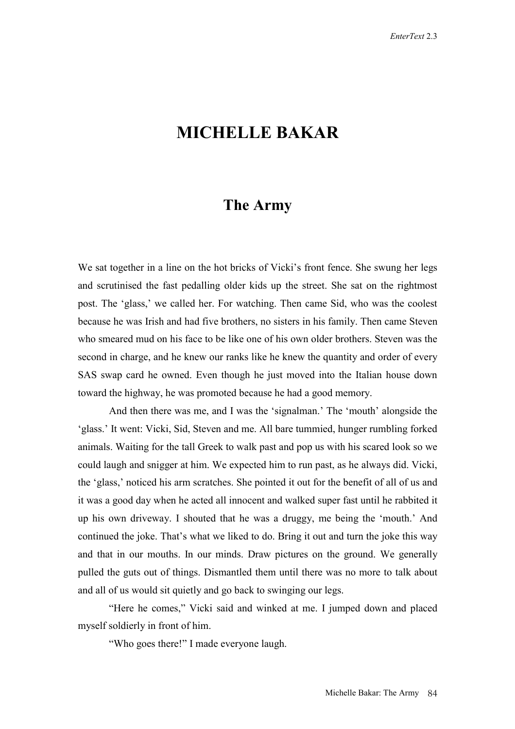## **MICHELLE BAKAR**

## **The Army**

We sat together in a line on the hot bricks of Vicki's front fence. She swung her legs and scrutinised the fast pedalling older kids up the street. She sat on the rightmost post. The 'glass,' we called her. For watching. Then came Sid, who was the coolest because he was Irish and had five brothers, no sisters in his family. Then came Steven who smeared mud on his face to be like one of his own older brothers. Steven was the second in charge, and he knew our ranks like he knew the quantity and order of every SAS swap card he owned. Even though he just moved into the Italian house down toward the highway, he was promoted because he had a good memory.

And then there was me, and I was the 'signalman.' The 'mouth' alongside the 'glass.' It went: Vicki, Sid, Steven and me. All bare tummied, hunger rumbling forked animals. Waiting for the tall Greek to walk past and pop us with his scared look so we could laugh and snigger at him. We expected him to run past, as he always did. Vicki, the 'glass,' noticed his arm scratches. She pointed it out for the benefit of all of us and it was a good day when he acted all innocent and walked super fast until he rabbited it up his own driveway. I shouted that he was a druggy, me being the 'mouth.' And continued the joke. That's what we liked to do. Bring it out and turn the joke this way and that in our mouths. In our minds. Draw pictures on the ground. We generally pulled the guts out of things. Dismantled them until there was no more to talk about and all of us would sit quietly and go back to swinging our legs.

"Here he comes," Vicki said and winked at me. I jumped down and placed myself soldierly in front of him.

"Who goes there!" I made everyone laugh.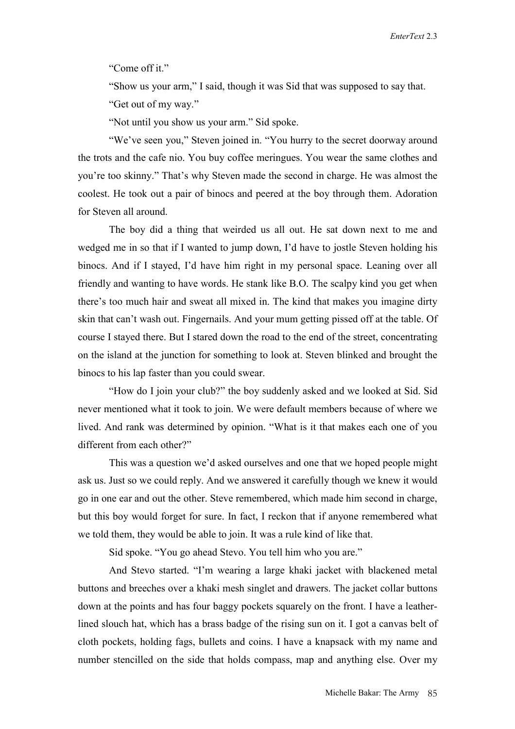"Come off it."

"Show us your arm," I said, though it was Sid that was supposed to say that.

"Get out of my way."

"Not until you show us your arm." Sid spoke.

"We've seen you," Steven joined in. "You hurry to the secret doorway around the trots and the cafe nio. You buy coffee meringues. You wear the same clothes and you're too skinny." That's why Steven made the second in charge. He was almost the coolest. He took out a pair of binocs and peered at the boy through them. Adoration for Steven all around.

The boy did a thing that weirded us all out. He sat down next to me and wedged me in so that if I wanted to jump down, I'd have to jostle Steven holding his binocs. And if I stayed, I'd have him right in my personal space. Leaning over all friendly and wanting to have words. He stank like B.O. The scalpy kind you get when there's too much hair and sweat all mixed in. The kind that makes you imagine dirty skin that can't wash out. Fingernails. And your mum getting pissed off at the table. Of course I stayed there. But I stared down the road to the end of the street, concentrating on the island at the junction for something to look at. Steven blinked and brought the binocs to his lap faster than you could swear.

"How do I join your club?" the boy suddenly asked and we looked at Sid. Sid never mentioned what it took to join. We were default members because of where we lived. And rank was determined by opinion. "What is it that makes each one of you different from each other?"

This was a question we'd asked ourselves and one that we hoped people might ask us. Just so we could reply. And we answered it carefully though we knew it would go in one ear and out the other. Steve remembered, which made him second in charge, but this boy would forget for sure. In fact, I reckon that if anyone remembered what we told them, they would be able to join. It was a rule kind of like that.

Sid spoke. "You go ahead Stevo. You tell him who you are."

And Stevo started. "I'm wearing a large khaki jacket with blackened metal buttons and breeches over a khaki mesh singlet and drawers. The jacket collar buttons down at the points and has four baggy pockets squarely on the front. I have a leatherlined slouch hat, which has a brass badge of the rising sun on it. I got a canvas belt of cloth pockets, holding fags, bullets and coins. I have a knapsack with my name and number stencilled on the side that holds compass, map and anything else. Over my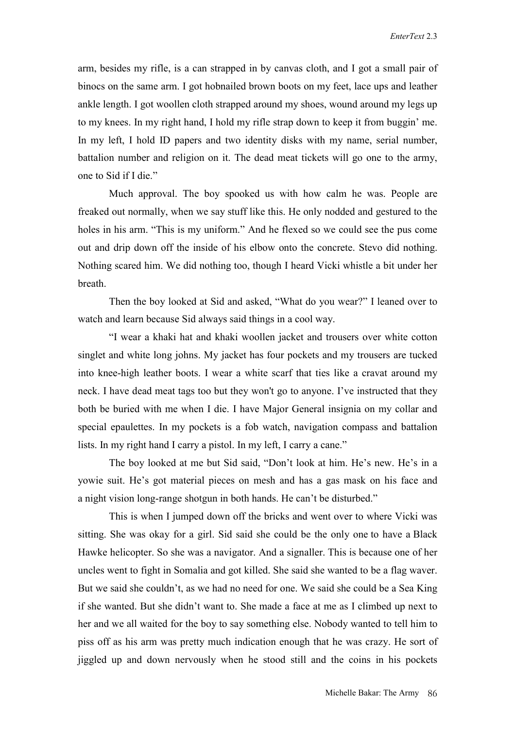arm, besides my rifle, is a can strapped in by canvas cloth, and I got a small pair of binocs on the same arm. I got hobnailed brown boots on my feet, lace ups and leather ankle length. I got woollen cloth strapped around my shoes, wound around my legs up to my knees. In my right hand, I hold my rifle strap down to keep it from buggin' me. In my left, I hold ID papers and two identity disks with my name, serial number, battalion number and religion on it. The dead meat tickets will go one to the army, one to Sid if I die."

Much approval. The boy spooked us with how calm he was. People are freaked out normally, when we say stuff like this. He only nodded and gestured to the holes in his arm. "This is my uniform." And he flexed so we could see the pus come out and drip down off the inside of his elbow onto the concrete. Stevo did nothing. Nothing scared him. We did nothing too, though I heard Vicki whistle a bit under her breath.

Then the boy looked at Sid and asked, "What do you wear?" I leaned over to watch and learn because Sid always said things in a cool way.

"I wear a khaki hat and khaki woollen jacket and trousers over white cotton singlet and white long johns. My jacket has four pockets and my trousers are tucked into knee-high leather boots. I wear a white scarf that ties like a cravat around my neck. I have dead meat tags too but they won't go to anyone. I've instructed that they both be buried with me when I die. I have Major General insignia on my collar and special epaulettes. In my pockets is a fob watch, navigation compass and battalion lists. In my right hand I carry a pistol. In my left, I carry a cane."

The boy looked at me but Sid said, "Don't look at him. He's new. He's in a yowie suit. He's got material pieces on mesh and has a gas mask on his face and a night vision long-range shotgun in both hands. He can't be disturbed."

This is when I jumped down off the bricks and went over to where Vicki was sitting. She was okay for a girl. Sid said she could be the only one to have a Black Hawke helicopter. So she was a navigator. And a signaller. This is because one of her uncles went to fight in Somalia and got killed. She said she wanted to be a flag waver. But we said she couldn't, as we had no need for one. We said she could be a Sea King if she wanted. But she didn't want to. She made a face at me as I climbed up next to her and we all waited for the boy to say something else. Nobody wanted to tell him to piss off as his arm was pretty much indication enough that he was crazy. He sort of jiggled up and down nervously when he stood still and the coins in his pockets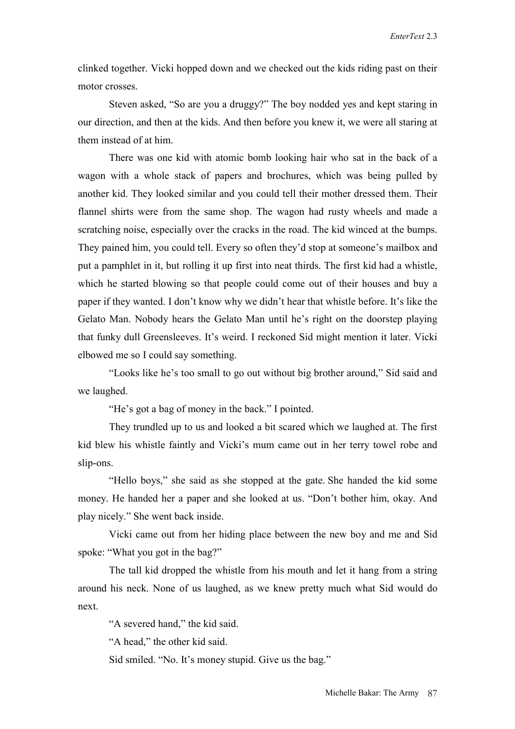clinked together. Vicki hopped down and we checked out the kids riding past on their motor crosses.

Steven asked, "So are you a druggy?" The boy nodded yes and kept staring in our direction, and then at the kids. And then before you knew it, we were all staring at them instead of at him.

There was one kid with atomic bomb looking hair who sat in the back of a wagon with a whole stack of papers and brochures, which was being pulled by another kid. They looked similar and you could tell their mother dressed them. Their flannel shirts were from the same shop. The wagon had rusty wheels and made a scratching noise, especially over the cracks in the road. The kid winced at the bumps. They pained him, you could tell. Every so often they'd stop at someone's mailbox and put a pamphlet in it, but rolling it up first into neat thirds. The first kid had a whistle, which he started blowing so that people could come out of their houses and buy a paper if they wanted. I don't know why we didn't hear that whistle before. It's like the Gelato Man. Nobody hears the Gelato Man until he's right on the doorstep playing that funky dull Greensleeves. It's weird. I reckoned Sid might mention it later. Vicki elbowed me so I could say something.

"Looks like he's too small to go out without big brother around," Sid said and we laughed.

"He's got a bag of money in the back." I pointed.

They trundled up to us and looked a bit scared which we laughed at. The first kid blew his whistle faintly and Vicki's mum came out in her terry towel robe and slip-ons.

"Hello boys," she said as she stopped at the gate. She handed the kid some money. He handed her a paper and she looked at us. "Don't bother him, okay. And play nicely." She went back inside.

Vicki came out from her hiding place between the new boy and me and Sid spoke: "What you got in the bag?"

The tall kid dropped the whistle from his mouth and let it hang from a string around his neck. None of us laughed, as we knew pretty much what Sid would do next.

"A severed hand," the kid said.

"A head," the other kid said.

Sid smiled. "No. It's money stupid. Give us the bag."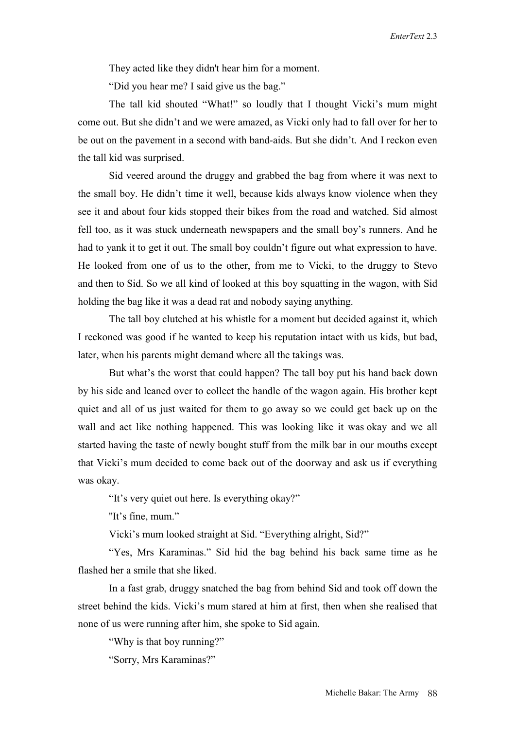They acted like they didn't hear him for a moment.

"Did you hear me? I said give us the bag."

The tall kid shouted "What!" so loudly that I thought Vicki's mum might come out. But she didn't and we were amazed, as Vicki only had to fall over for her to be out on the pavement in a second with band-aids. But she didn't. And I reckon even the tall kid was surprised.

Sid veered around the druggy and grabbed the bag from where it was next to the small boy. He didn't time it well, because kids always know violence when they see it and about four kids stopped their bikes from the road and watched. Sid almost fell too, as it was stuck underneath newspapers and the small boy's runners. And he had to yank it to get it out. The small boy couldn't figure out what expression to have. He looked from one of us to the other, from me to Vicki, to the druggy to Stevo and then to Sid. So we all kind of looked at this boy squatting in the wagon, with Sid holding the bag like it was a dead rat and nobody saying anything.

The tall boy clutched at his whistle for a moment but decided against it, which I reckoned was good if he wanted to keep his reputation intact with us kids, but bad, later, when his parents might demand where all the takings was.

But what's the worst that could happen? The tall boy put his hand back down by his side and leaned over to collect the handle of the wagon again. His brother kept quiet and all of us just waited for them to go away so we could get back up on the wall and act like nothing happened. This was looking like it was okay and we all started having the taste of newly bought stuff from the milk bar in our mouths except that Vicki's mum decided to come back out of the doorway and ask us if everything was okay.

"It's very quiet out here. Is everything okay?"

"It's fine, mum."

Vicki's mum looked straight at Sid. "Everything alright, Sid?"

"Yes, Mrs Karaminas." Sid hid the bag behind his back same time as he flashed her a smile that she liked.

In a fast grab, druggy snatched the bag from behind Sid and took off down the street behind the kids. Vicki's mum stared at him at first, then when she realised that none of us were running after him, she spoke to Sid again.

"Why is that boy running?"

"Sorry, Mrs Karaminas?"